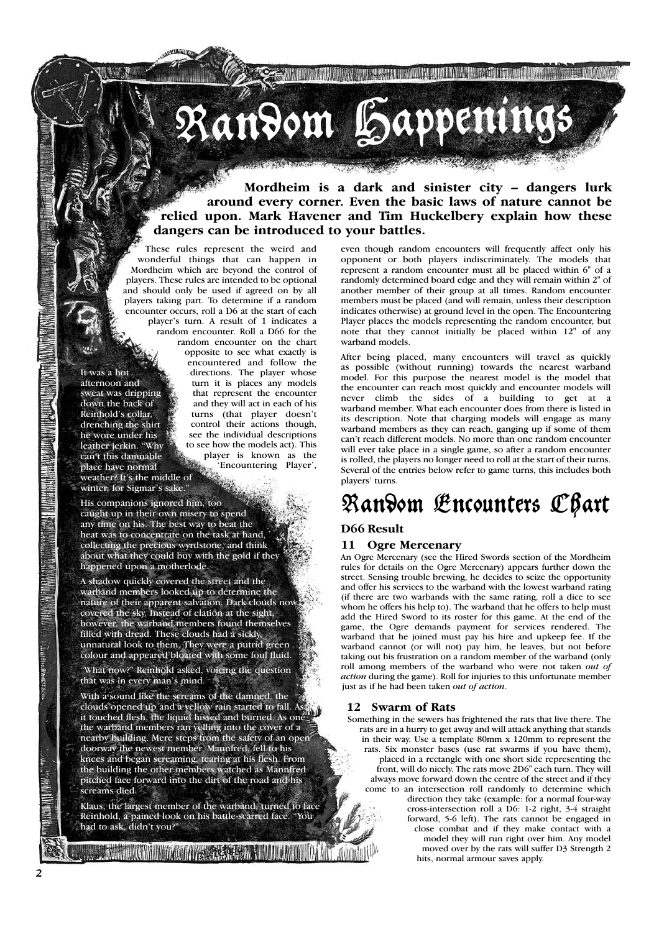# Random Happenings

**Mordheim is a dark and sinister city – dangers lurk around every corner. Even the basic laws of nature cannot be relied upon. Mark Havener and Tim Huckelbery explain how these dangers can be introduced to your battles.**

These rules represent the weird and wonderful things that can happen in Mordheim which are beyond the control of players. These rules are intended to be optional and should only be used if agreed on by all players taking part. To determine if a random encounter occurs, roll a D6 at the start of each player's turn. A result of 1 indicates a random encounter. Roll a D66 for the

It was a hot afternoon and sweat was dripping down the back of Reinhold's collar, drenching the shirt he wore under his leather jerkin. "Why can't this damnable place have normal weather? It's the middle of winter, for Sigmar's sake."

random encounter on the chart opposite to see what exactly is encountered and follow the directions. The player whose turn it is places any models that represent the encounter and they will act in each of his turns (that player doesn't control their actions though, see the individual descriptions to see how the models act). This player is known as the 'Encountering Player',

His companions ignored him, too caught up in their own misery to spend any time on his. The best way to beat the heat was to concentrate on the task at hand, collecting the precious wyrdstone, and think about what they could buy with the gold if they happened upon a motherlode.

A shadow quickly covered the street and the warband members looked up to determine the nature of their apparent salvation. Dark clouds now covered the sky. Instead of elation at the sight, however, the warband members found themselves filled with dread. These clouds had a sickly, unnatural look to them. They were a putrid green colour and appeared bloated with some foul fluid.

"What now?" Reinhold asked, voicing the question that was in every man's mind.

With a sound like the screams of the damned, the clouds opened up and a yellow rain started to fall. As it touched flesh, the liquid hissed and burned. As one the warband members ran yelling into the cover of a nearby building. Mere steps from the safety of an open doorway the newest member, Mannfred, fell to his knees and began screaming, tearing at his flesh. From the building the other members watched as Mannfred pitched face forward into the dirt of the road and his screams died.

Klaus, the largest member of the warband, turned to face Reinhold, a pained look on his battle-scarred face. "You had to ask, didn't you?"

**THE TABLE TO BE AND THE REAL PROPERTY.** 

even though random encounters will frequently affect only his opponent or both players indiscriminately. The models that represent a random encounter must all be placed within 6" of a randomly determined board edge and they will remain within 2" of another member of their group at all times. Random encounter members must be placed (and will remain, unless their description indicates otherwise) at ground level in the open. The Encountering Player places the models representing the random encounter, but note that they cannot initially be placed within 12" of any warband models.

NE TENTURI NE KE TENEBARKAN DI BERKU DI BERKU DI BERKU DI BERKU DI BERKU DI BERKU DI BERKU DI BERKU DI BERKU D

After being placed, many encounters will travel as quickly as possible (without running) towards the nearest warband model. For this purpose the nearest model is the model that the encounter can reach most quickly and encounter models will never climb the sides of a building to get at a warband member. What each encounter does from there is listed in its description. Note that charging models will engage as many warband members as they can reach, ganging up if some of them can't reach different models. No more than one random encounter will ever take place in a single game, so after a random encounter is rolled, the players no longer need to roll at the start of their turns. Several of the entries below refer to game turns, this includes both players' turns.

# Random Encounters Chart

# **D66 Result**

# **11 Ogre Mercenary**

An Ogre Mercenary (see the Hired Swords section of the Mordheim rules for details on the Ogre Mercenary) appears further down the street. Sensing trouble brewing, he decides to seize the opportunity and offer his services to the warband with the lowest warband rating (if there are two warbands with the same rating, roll a dice to see whom he offers his help to). The warband that he offers to help must add the Hired Sword to its roster for this game. At the end of the game, the Ogre demands payment for services rendered. The warband that he joined must pay his hire and upkeep fee. If the warband cannot (or will not) pay him, he leaves, but not before taking out his frustration on a random member of the warband (only roll among members of the warband who were not taken *out of action* during the game). Roll for injuries to this unfortunate member just as if he had been taken *out of action*.

#### **12 Swarm of Rats**

Something in the sewers has frightened the rats that live there. The rats are in a hurry to get away and will attack anything that stands in their way. Use a template 80mm x 120mm to represent the rats. Six monster bases (use rat swarms if you have them), placed in a rectangle with one short side representing the front, will do nicely. The rats move 2D6" each turn. They will always move forward down the centre of the street and if they come to an intersection roll randomly to determine which direction they take (example: for a normal four-way cross-intersection roll a D6: 1-2 right, 3-4 straight forward, 5-6 left). The rats cannot be engaged in close combat and if they make contact with a model they will run right over him. Any model moved over by the rats will suffer D3 Strength 2 hits, normal armour saves apply.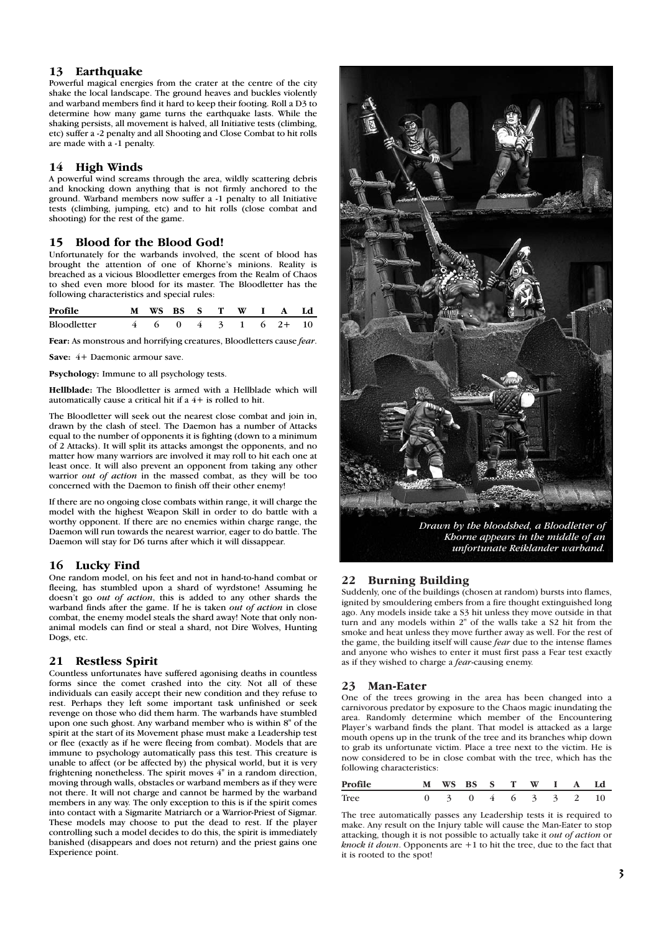# **13 Earthquake**

Powerful magical energies from the crater at the centre of the city shake the local landscape. The ground heaves and buckles violently and warband members find it hard to keep their footing. Roll a D3 to determine how many game turns the earthquake lasts. While the shaking persists, all movement is halved, all Initiative tests (climbing, etc) suffer a -2 penalty and all Shooting and Close Combat to hit rolls are made with a -1 penalty.

# **14 High Winds**

A powerful wind screams through the area, wildly scattering debris and knocking down anything that is not firmly anchored to the ground. Warband members now suffer a -1 penalty to all Initiative tests (climbing, jumping, etc) and to hit rolls (close combat and shooting) for the rest of the game.

# **15 Blood for the Blood God!**

Unfortunately for the warbands involved, the scent of blood has brought the attention of one of Khorne's minions. Reality is breached as a vicious Bloodletter emerges from the Realm of Chaos to shed even more blood for its master. The Bloodletter has the following characteristics and special rules:

| Profile     |  |  |  | M WS BS S T W I A Ld                                    |  |
|-------------|--|--|--|---------------------------------------------------------|--|
| Bloodletter |  |  |  | $4\quad 6\quad 0\quad 4\quad 3\quad 1\quad 6\quad 2+10$ |  |

**Fear:** As monstrous and horrifying creatures, Bloodletters cause *fear*.

**Save:** 4+ Daemonic armour save.

**Psychology:** Immune to all psychology tests.

**Hellblade:** The Bloodletter is armed with a Hellblade which will automatically cause a critical hit if a 4+ is rolled to hit.

The Bloodletter will seek out the nearest close combat and join in, drawn by the clash of steel. The Daemon has a number of Attacks equal to the number of opponents it is fighting (down to a minimum of 2 Attacks). It will split its attacks amongst the opponents, and no matter how many warriors are involved it may roll to hit each one at least once. It will also prevent an opponent from taking any other warrior *out of action* in the massed combat, as they will be too concerned with the Daemon to finish off their other enemy!

If there are no ongoing close combats within range, it will charge the model with the highest Weapon Skill in order to do battle with a worthy opponent. If there are no enemies within charge range, the Daemon will run towards the nearest warrior, eager to do battle. The Daemon will stay for D6 turns after which it will dissappear.

#### **16 Lucky Find**

One random model, on his feet and not in hand-to-hand combat or fleeing, has stumbled upon a shard of wyrdstone! Assuming he doesn't go *out of action*, this is added to any other shards the warband finds after the game. If he is taken *out of action* in close combat, the enemy model steals the shard away! Note that only nonanimal models can find or steal a shard, not Dire Wolves, Hunting Dogs, etc.

#### **21 Restless Spirit**

Countless unfortunates have suffered agonising deaths in countless forms since the comet crashed into the city. Not all of these individuals can easily accept their new condition and they refuse to rest. Perhaps they left some important task unfinished or seek revenge on those who did them harm. The warbands have stumbled upon one such ghost. Any warband member who is within 8" of the spirit at the start of its Movement phase must make a Leadership test or flee (exactly as if he were fleeing from combat). Models that are immune to psychology automatically pass this test. This creature is unable to affect (or be affected by) the physical world, but it is very frightening nonetheless. The spirit moves 4" in a random direction, moving through walls, obstacles or warband members as if they were not there. It will not charge and cannot be harmed by the warband members in any way. The only exception to this is if the spirit comes into contact with a Sigmarite Matriarch or a Warrior-Priest of Sigmar. These models may choose to put the dead to rest. If the player controlling such a model decides to do this, the spirit is immediately banished (disappears and does not return) and the priest gains one Experience point.



*Drawn by the bloodshed, a Bloodletter of Khorne appears in the middle of an unfortunate Reiklander warband.*

# **22 Burning Building**

Suddenly, one of the buildings (chosen at random) bursts into flames, ignited by smouldering embers from a fire thought extinguished long ago. Any models inside take a S3 hit unless they move outside in that turn and any models within 2" of the walls take a S2 hit from the smoke and heat unless they move further away as well. For the rest of the game, the building itself will cause *fear* due to the intense flames and anyone who wishes to enter it must first pass a Fear test exactly as if they wished to charge a *fear*-causing enemy.

#### **23 Man-Eater**

One of the trees growing in the area has been changed into a carnivorous predator by exposure to the Chaos magic inundating the area. Randomly determine which member of the Encountering Player's warband finds the plant. That model is attacked as a large mouth opens up in the trunk of the tree and its branches whip down to grab its unfortunate victim. Place a tree next to the victim. He is now considered to be in close combat with the tree, which has the following characteristics:

| Profile<br>M WS BS S T W I A Ld |                    |  |  |  |  |
|---------------------------------|--------------------|--|--|--|--|
| <b>Tree</b>                     | 0 3 0 4 6 3 3 2 10 |  |  |  |  |

The tree automatically passes any Leadership tests it is required to make. Any result on the Injury table will cause the Man-Eater to stop attacking, though it is not possible to actually take it *out of action* or *knock it down*. Opponents are +1 to hit the tree, due to the fact that it is rooted to the spot!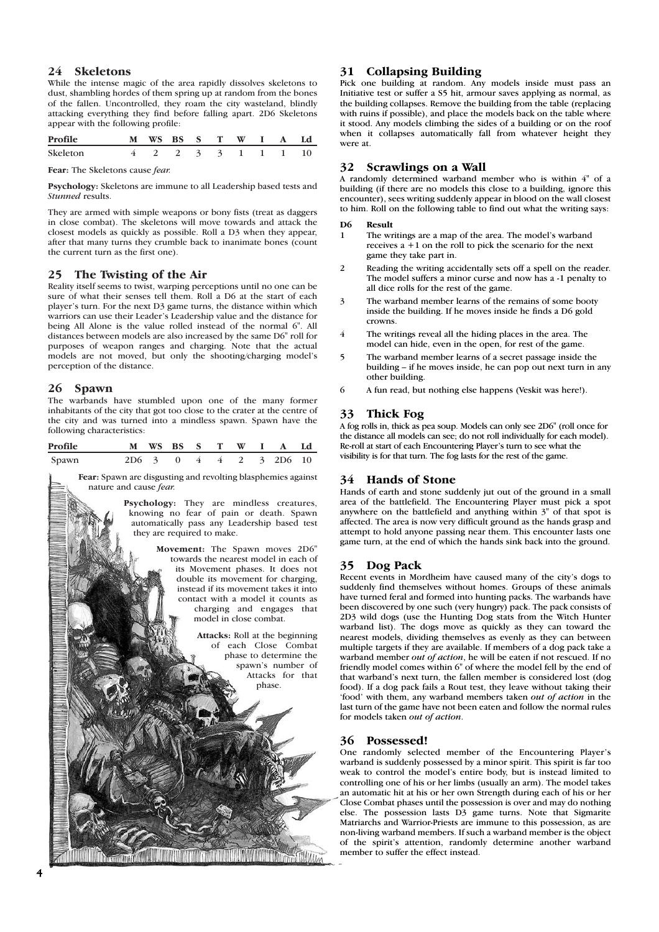#### **24 Skeletons**

While the intense magic of the area rapidly dissolves skeletons to dust, shambling hordes of them spring up at random from the bones of the fallen. Uncontrolled, they roam the city wasteland, blindly attacking everything they find before falling apart. 2D6 Skeletons appear with the following profile:

| Profile            | M WS BS S T W I A Ld  |  |  |  |  |
|--------------------|-----------------------|--|--|--|--|
| Skeleton           | 4 2 2 3 3 1 1 1 1 1 0 |  |  |  |  |
| ---<br>.<br>$\sim$ |                       |  |  |  |  |

**Fear:** The Skeletons cause *fear.*

**Psychology:** Skeletons are immune to all Leadership based tests and *Stunned* results.

They are armed with simple weapons or bony fists (treat as daggers in close combat). The skeletons will move towards and attack the closest models as quickly as possible. Roll a D3 when they appear, after that many turns they crumble back to inanimate bones (count the current turn as the first one).

#### **25 The Twisting of the Air**

Reality itself seems to twist, warping perceptions until no one can be sure of what their senses tell them. Roll a D6 at the start of each player's turn. For the next D3 game turns, the distance within which warriors can use their Leader's Leadership value and the distance for being All Alone is the value rolled instead of the normal 6". All distances between models are also increased by the same D6" roll for purposes of weapon ranges and charging. Note that the actual models are not moved, but only the shooting/charging model's perception of the distance.

# **26 Spawn**

The warbands have stumbled upon one of the many former inhabitants of the city that got too close to the crater at the centre of the city and was turned into a mindless spawn. Spawn have the following characteristics:

| Profile |  |  |  | M WS BS S T W I A Ld   |  |
|---------|--|--|--|------------------------|--|
| Spawn   |  |  |  | 2D6 3 0 4 4 2 3 2D6 10 |  |

**Fear:** Spawn are disgusting and revolting blasphemies against nature and cause *fear.*

> **Psychology:** They are mindless creatures, knowing no fear of pain or death. Spawn automatically pass any Leadership based test they are required to make.

> > **Movement:** The Spawn moves 2D6" towards the nearest model in each of its Movement phases. It does not double its movement for charging, instead if its movement takes it into contact with a model it counts as charging and engages that model in close combat.

> > > **Attacks:** Roll at the beginning of each Close Combat phase to determine the spawn's number of Attacks for that phase.

#### **31 Collapsing Building**

Pick one building at random. Any models inside must pass an Initiative test or suffer a S5 hit, armour saves applying as normal, as the building collapses. Remove the building from the table (replacing with ruins if possible), and place the models back on the table where it stood. Any models climbing the sides of a building or on the roof when it collapses automatically fall from whatever height they were at.

#### **32 Scrawlings on a Wall**

A randomly determined warband member who is within 4" of a building (if there are no models this close to a building, ignore this encounter), sees writing suddenly appear in blood on the wall closest to him. Roll on the following table to find out what the writing says:

#### **D6 Result**

- 1 The writings are a map of the area. The model's warband receives a +1 on the roll to pick the scenario for the next game they take part in.
- 2 Reading the writing accidentally sets off a spell on the reader. The model suffers a minor curse and now has a -1 penalty to all dice rolls for the rest of the game.
- 3 The warband member learns of the remains of some booty inside the building. If he moves inside he finds a D6 gold crowns.
- 4 The writings reveal all the hiding places in the area. The model can hide, even in the open, for rest of the game.
- 5 The warband member learns of a secret passage inside the building – if he moves inside, he can pop out next turn in any other building.
- 6 A fun read, but nothing else happens (Veskit was here!).

#### **33 Thick Fog**

A fog rolls in, thick as pea soup. Models can only see 2D6" (roll once for the distance all models can see; do not roll individually for each model). Re-roll at start of each Encountering Player's turn to see what the visibility is for that turn. The fog lasts for the rest of the game.

#### **34 Hands of Stone**

Hands of earth and stone suddenly jut out of the ground in a small area of the battlefield. The Encountering Player must pick a spot anywhere on the battlefield and anything within 3" of that spot is affected. The area is now very difficult ground as the hands grasp and attempt to hold anyone passing near them. This encounter lasts one game turn, at the end of which the hands sink back into the ground.

#### **35 Dog Pack**

Recent events in Mordheim have caused many of the city's dogs to suddenly find themselves without homes. Groups of these animals have turned feral and formed into hunting packs. The warbands have been discovered by one such (very hungry) pack. The pack consists of 2D3 wild dogs (use the Hunting Dog stats from the Witch Hunter warband list). The dogs move as quickly as they can toward the nearest models, dividing themselves as evenly as they can between multiple targets if they are available. If members of a dog pack take a warband member *out of action*, he will be eaten if not rescued. If no friendly model comes within 6" of where the model fell by the end of that warband's next turn, the fallen member is considered lost (dog food). If a dog pack fails a Rout test, they leave without taking their 'food' with them, any warband members taken *out of action* in the last turn of the game have not been eaten and follow the normal rules for models taken *out of action*.

#### **36 Possessed!**

One randomly selected member of the Encountering Player's warband is suddenly possessed by a minor spirit. This spirit is far too weak to control the model's entire body, but is instead limited to controlling one of his or her limbs (usually an arm). The model takes an automatic hit at his or her own Strength during each of his or her Close Combat phases until the possession is over and may do nothing else. The possession lasts D3 game turns. Note that Sigmarite Matriarchs and Warrior-Priests are immune to this possession, as are non-living warband members. If such a warband member is the object of the spirit's attention, randomly determine another warband member to suffer the effect instead.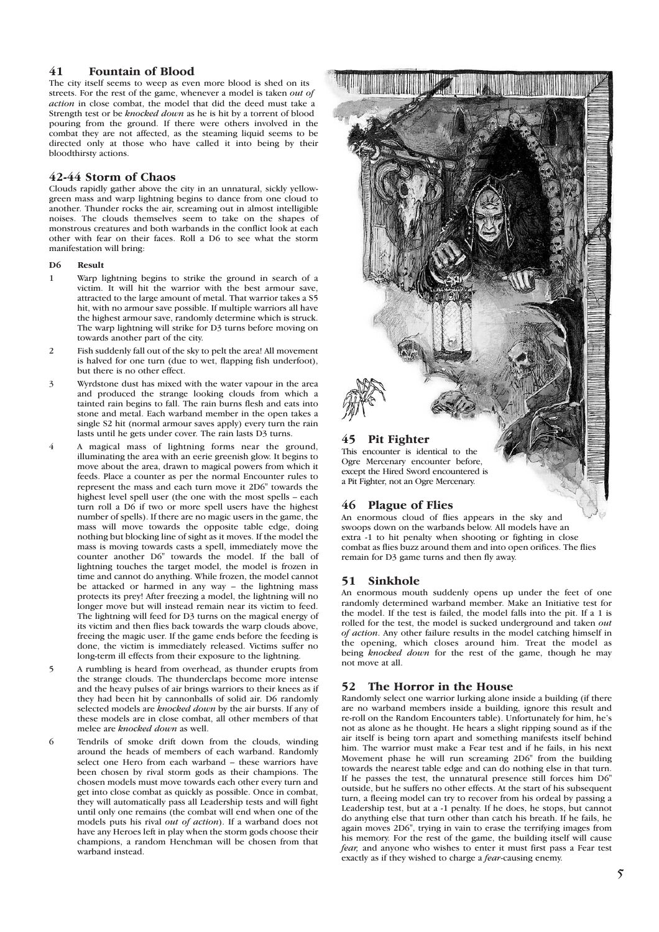# **41 Fountain of Blood**

The city itself seems to weep as even more blood is shed on its streets. For the rest of the game, whenever a model is taken *out of action* in close combat, the model that did the deed must take a Strength test or be *knocked down* as he is hit by a torrent of blood pouring from the ground. If there were others involved in the combat they are not affected, as the steaming liquid seems to be directed only at those who have called it into being by their bloodthirsty actions.

#### **42-44 Storm of Chaos**

Clouds rapidly gather above the city in an unnatural, sickly yellowgreen mass and warp lightning begins to dance from one cloud to another. Thunder rocks the air, screaming out in almost intelligible noises. The clouds themselves seem to take on the shapes of monstrous creatures and both warbands in the conflict look at each other with fear on their faces. Roll a D6 to see what the storm manifestation will bring:

#### **D6 Result**

- 1 Warp lightning begins to strike the ground in search of a victim. It will hit the warrior with the best armour save, attracted to the large amount of metal. That warrior takes a S5 hit, with no armour save possible. If multiple warriors all have the highest armour save, randomly determine which is struck. The warp lightning will strike for D3 turns before moving on towards another part of the city.
- 2 Fish suddenly fall out of the sky to pelt the area! All movement is halved for one turn (due to wet, flapping fish underfoot), but there is no other effect.
- 3 Wyrdstone dust has mixed with the water vapour in the area and produced the strange looking clouds from which a tainted rain begins to fall. The rain burns flesh and eats into stone and metal. Each warband member in the open takes a single S2 hit (normal armour saves apply) every turn the rain lasts until he gets under cover. The rain lasts D3 turns.
- 4 A magical mass of lightning forms near the ground, illuminating the area with an eerie greenish glow. It begins to move about the area, drawn to magical powers from which it feeds. Place a counter as per the normal Encounter rules to represent the mass and each turn move it 2D6" towards the highest level spell user (the one with the most spells – each turn roll a  $D6$  if two or more spell users have the highest number of spells). If there are no magic users in the game, the mass will move towards the opposite table edge, doing nothing but blocking line of sight as it moves. If the model the mass is moving towards casts a spell, immediately move the counter another D6" towards the model. If the ball of lightning touches the target model, the model is frozen in time and cannot do anything. While frozen, the model cannot be attacked or harmed in any way – the lightning mass protects its prey! After freezing a model, the lightning will no longer move but will instead remain near its victim to feed. The lightning will feed for D3 turns on the magical energy of its victim and then flies back towards the warp clouds above, freeing the magic user. If the game ends before the feeding is done, the victim is immediately released. Victims suffer no long-term ill effects from their exposure to the lightning.
- 5 A rumbling is heard from overhead, as thunder erupts from the strange clouds. The thunderclaps become more intense and the heavy pulses of air brings warriors to their knees as if they had been hit by cannonballs of solid air. D6 randomly selected models are *knocked down* by the air bursts. If any of these models are in close combat, all other members of that melee are *knocked down* as well.
- 6 Tendrils of smoke drift down from the clouds, winding around the heads of members of each warband. Randomly select one Hero from each warband – these warriors have been chosen by rival storm gods as their champions. The chosen models must move towards each other every turn and get into close combat as quickly as possible. Once in combat, they will automatically pass all Leadership tests and will fight until only one remains (the combat will end when one of the models puts his rival *out of action*). If a warband does not have any Heroes left in play when the storm gods choose their champions, a random Henchman will be chosen from that warband instead.

# **45 Pit Fighter**

This encounter is identical to the Ogre Mercenary encounter before, except the Hired Sword encountered is a Pit Fighter, not an Ogre Mercenary.

#### **46 Plague of Flies**

An enormous cloud of flies appears in the sky and swoops down on the warbands below. All models have an extra -1 to hit penalty when shooting or fighting in close combat as flies buzz around them and into open orifices. The flies remain for D3 game turns and then fly away.

#### **51 Sinkhole**

An enormous mouth suddenly opens up under the feet of one randomly determined warband member. Make an Initiative test for the model. If the test is failed, the model falls into the pit. If a 1 is rolled for the test, the model is sucked underground and taken *out of action*. Any other failure results in the model catching himself in the opening, which closes around him. Treat the model as being *knocked down* for the rest of the game, though he may not move at all.

#### **52 The Horror in the House**

Randomly select one warrior lurking alone inside a building (if there are no warband members inside a building, ignore this result and re-roll on the Random Encounters table). Unfortunately for him, he's not as alone as he thought. He hears a slight ripping sound as if the air itself is being torn apart and something manifests itself behind him. The warrior must make a Fear test and if he fails, in his next Movement phase he will run screaming 2D6" from the building towards the nearest table edge and can do nothing else in that turn. If he passes the test, the unnatural presence still forces him D6" outside, but he suffers no other effects. At the start of his subsequent turn, a fleeing model can try to recover from his ordeal by passing a Leadership test, but at a -1 penalty. If he does, he stops, but cannot do anything else that turn other than catch his breath. If he fails, he again moves 2D6", trying in vain to erase the terrifying images from his memory. For the rest of the game, the building itself will cause *fear,* and anyone who wishes to enter it must first pass a Fear test exactly as if they wished to charge a *fear*-causing enemy.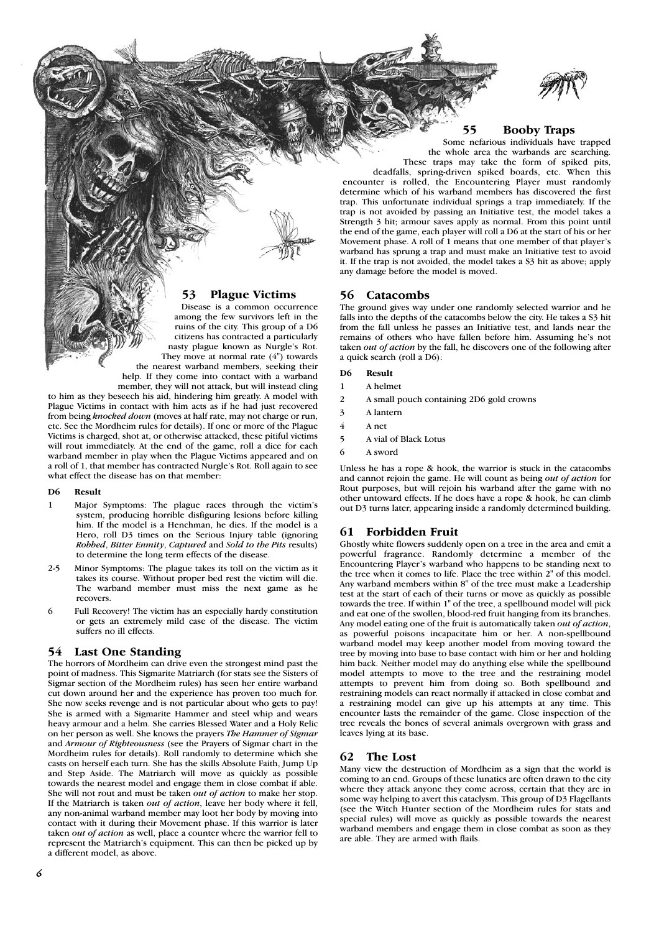

**55 Booby Traps** Some nefarious individuals have trapped

the whole area the warbands are searching. These traps may take the form of spiked pits,

deadfalls, spring-driven spiked boards, etc. When this encounter is rolled, the Encountering Player must randomly determine which of his warband members has discovered the first trap. This unfortunate individual springs a trap immediately. If the trap is not avoided by passing an Initiative test, the model takes a Strength 3 hit; armour saves apply as normal. From this point until the end of the game, each player will roll a D6 at the start of his or her Movement phase. A roll of 1 means that one member of that player's warband has sprung a trap and must make an Initiative test to avoid it. If the trap is not avoided, the model takes a S3 hit as above; apply any damage before the model is moved.

# **56 Catacombs**

The ground gives way under one randomly selected warrior and he falls into the depths of the catacombs below the city. He takes a S3 hit from the fall unless he passes an Initiative test, and lands near the remains of others who have fallen before him. Assuming he's not taken *out of action* by the fall, he discovers one of the following after a quick search (roll a D6):

#### **D6 Result**

- 1 A helmet
- 2 A small pouch containing 2D6 gold crowns
- 3 A lantern
- 4 A net
- 5 A vial of Black Lotus
- 6 A sword

Unless he has a rope & hook, the warrior is stuck in the catacombs and cannot rejoin the game. He will count as being *out of action* for Rout purposes, but will rejoin his warband after the game with no other untoward effects. If he does have a rope & hook, he can climb out D3 turns later, appearing inside a randomly determined building.

# **61 Forbidden Fruit**

Ghostly white flowers suddenly open on a tree in the area and emit a powerful fragrance. Randomly determine a member of the Encountering Player's warband who happens to be standing next to the tree when it comes to life. Place the tree within 2" of this model. Any warband members within 8" of the tree must make a Leadership test at the start of each of their turns or move as quickly as possible towards the tree. If within 1" of the tree, a spellbound model will pick and eat one of the swollen, blood-red fruit hanging from its branches. Any model eating one of the fruit is automatically taken *out of action*, as powerful poisons incapacitate him or her. A non-spellbound warband model may keep another model from moving toward the tree by moving into base to base contact with him or her and holding him back. Neither model may do anything else while the spellbound model attempts to move to the tree and the restraining model attempts to prevent him from doing so. Both spellbound and restraining models can react normally if attacked in close combat and a restraining model can give up his attempts at any time. This encounter lasts the remainder of the game. Close inspection of the tree reveals the bones of several animals overgrown with grass and leaves lying at its base.

#### **62 The Lost**

Many view the destruction of Mordheim as a sign that the world is coming to an end. Groups of these lunatics are often drawn to the city where they attack anyone they come across, certain that they are in some way helping to avert this cataclysm. This group of D3 Flagellants (see the Witch Hunter section of the Mordheim rules for stats and special rules) will move as quickly as possible towards the nearest warband members and engage them in close combat as soon as they are able. They are armed with flails.

# **53 Plague Victims**

Disease is a common occurrence among the few survivors left in the ruins of the city. This group of a D6 citizens has contracted a particularly nasty plague known as Nurgle's Rot. They move at normal rate  $(4")$  towards the nearest warband members, seeking their help. If they come into contact with a warband

member, they will not attack, but will instead cling to him as they beseech his aid, hindering him greatly. A model with Plague Victims in contact with him acts as if he had just recovered from being *knocked down* (moves at half rate, may not charge or run, etc. See the Mordheim rules for details). If one or more of the Plague Victims is charged, shot at, or otherwise attacked, these pitiful victims will rout immediately. At the end of the game, roll a dice for each warband member in play when the Plague Victims appeared and on a roll of 1, that member has contracted Nurgle's Rot. Roll again to see what effect the disease has on that member:

#### **D6 Result**

- 1 Major Symptoms: The plague races through the victim's system, producing horrible disfiguring lesions before killing him. If the model is a Henchman, he dies. If the model is a Hero, roll D3 times on the Serious Injury table (ignoring *Robbed*, *Bitter Enmity*, *Captured* and *Sold to the Pits* results) to determine the long term effects of the disease.
- 2-5 Minor Symptoms: The plague takes its toll on the victim as it takes its course. Without proper bed rest the victim will die. The warband member must miss the next game as he recovers.
- 6 Full Recovery! The victim has an especially hardy constitution or gets an extremely mild case of the disease. The victim suffers no ill effects.

#### **54 Last One Standing**

The horrors of Mordheim can drive even the strongest mind past the point of madness. This Sigmarite Matriarch (for stats see the Sisters of Sigmar section of the Mordheim rules) has seen her entire warband cut down around her and the experience has proven too much for. She now seeks revenge and is not particular about who gets to pay! She is armed with a Sigmarite Hammer and steel whip and wears heavy armour and a helm. She carries Blessed Water and a Holy Relic on her person as well. She knows the prayers *The Hammer of Sigmar* and *Armour of Righteousness* (see the Prayers of Sigmar chart in the Mordheim rules for details). Roll randomly to determine which she casts on herself each turn. She has the skills Absolute Faith, Jump Up and Step Aside. The Matriarch will move as quickly as possible towards the nearest model and engage them in close combat if able. She will not rout and must be taken *out of action* to make her stop. If the Matriarch is taken *out of action*, leave her body where it fell, any non-animal warband member may loot her body by moving into contact with it during their Movement phase. If this warrior is later taken *out of action* as well, place a counter where the warrior fell to represent the Matriarch's equipment. This can then be picked up by a different model, as above.